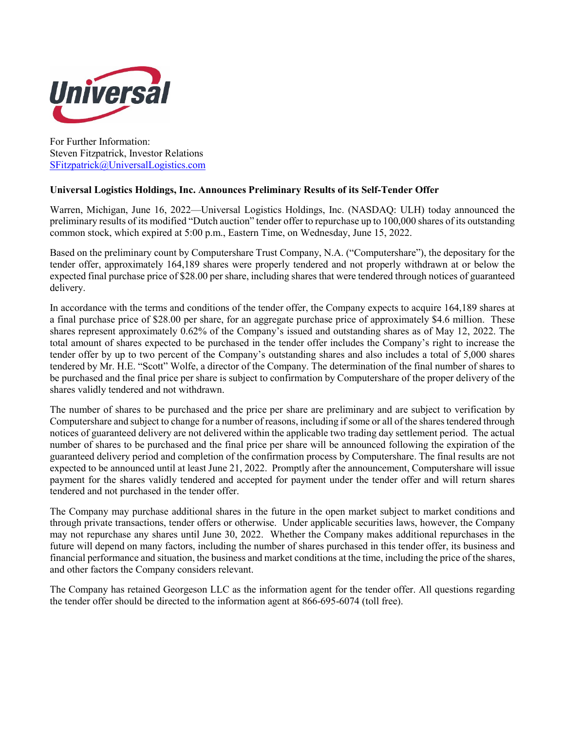

For Further Information: Steven Fitzpatrick, Investor Relations [SFitzpatrick@UniversalLogistics.com](mailto:SFitzpatrick@UniversalLogistics.com)

## **Universal Logistics Holdings, Inc. Announces Preliminary Results of its Self-Tender Offer**

Warren, Michigan, June 16, 2022—Universal Logistics Holdings, Inc. (NASDAQ: ULH) today announced the preliminary results of its modified "Dutch auction" tender offer to repurchase up to 100,000 shares of its outstanding common stock, which expired at 5:00 p.m., Eastern Time, on Wednesday, June 15, 2022.

Based on the preliminary count by Computershare Trust Company, N.A. ("Computershare"), the depositary for the tender offer, approximately 164,189 shares were properly tendered and not properly withdrawn at or below the expected final purchase price of \$28.00 per share, including shares that were tendered through notices of guaranteed delivery.

In accordance with the terms and conditions of the tender offer, the Company expects to acquire 164,189 shares at a final purchase price of \$28.00 per share, for an aggregate purchase price of approximately \$4.6 million. These shares represent approximately 0.62% of the Company's issued and outstanding shares as of May 12, 2022. The total amount of shares expected to be purchased in the tender offer includes the Company's right to increase the tender offer by up to two percent of the Company's outstanding shares and also includes a total of 5,000 shares tendered by Mr. H.E. "Scott" Wolfe, a director of the Company. The determination of the final number of shares to be purchased and the final price per share is subject to confirmation by Computershare of the proper delivery of the shares validly tendered and not withdrawn.

The number of shares to be purchased and the price per share are preliminary and are subject to verification by Computershare and subject to change for a number of reasons, including if some or all of the shares tendered through notices of guaranteed delivery are not delivered within the applicable two trading day settlement period. The actual number of shares to be purchased and the final price per share will be announced following the expiration of the guaranteed delivery period and completion of the confirmation process by Computershare. The final results are not expected to be announced until at least June 21, 2022. Promptly after the announcement, Computershare will issue payment for the shares validly tendered and accepted for payment under the tender offer and will return shares tendered and not purchased in the tender offer.

The Company may purchase additional shares in the future in the open market subject to market conditions and through private transactions, tender offers or otherwise. Under applicable securities laws, however, the Company may not repurchase any shares until June 30, 2022. Whether the Company makes additional repurchases in the future will depend on many factors, including the number of shares purchased in this tender offer, its business and financial performance and situation, the business and market conditions at the time, including the price of the shares, and other factors the Company considers relevant.

The Company has retained Georgeson LLC as the information agent for the tender offer. All questions regarding the tender offer should be directed to the information agent at 866-695-6074 (toll free).